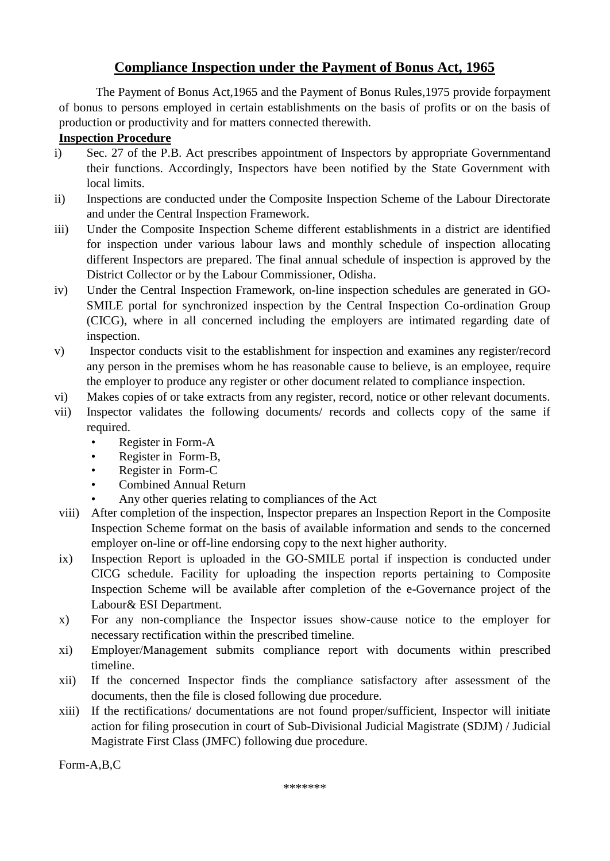# **Compliance Inspection under the Payment of Bonus Act, 1965**

The Payment of Bonus Act,1965 and the Payment of Bonus Rules,1975 provide forpayment of bonus to persons employed in certain establishments on the basis of profits or on the basis of production or productivity and for matters connected therewith.

## **Inspection Procedure**

- i) Sec. 27 of the P.B. Act prescribes appointment of Inspectors by appropriate Governmentand their functions. Accordingly, Inspectors have been notified by the State Government with local limits.
- ii) Inspections are conducted under the Composite Inspection Scheme of the Labour Directorate and under the Central Inspection Framework.
- iii) Under the Composite Inspection Scheme different establishments in a district are identified for inspection under various labour laws and monthly schedule of inspection allocating different Inspectors are prepared. The final annual schedule of inspection is approved by the District Collector or by the Labour Commissioner, Odisha.
- iv) Under the Central Inspection Framework, on-line inspection schedules are generated in GO-SMILE portal for synchronized inspection by the Central Inspection Co-ordination Group (CICG), where in all concerned including the employers are intimated regarding date of inspection.
- v) Inspector conducts visit to the establishment for inspection and examines any register/record any person in the premises whom he has reasonable cause to believe, is an employee, require the employer to produce any register or other document related to compliance inspection.
- vi) Makes copies of or take extracts from any register, record, notice or other relevant documents.
- vii) Inspector validates the following documents/ records and collects copy of the same if required.
	- Register in Form-A
	- Register in Form-B,
	- Register in Form-C
	- Combined Annual Return
	- Any other queries relating to compliances of the Act
- viii) After completion of the inspection, Inspector prepares an Inspection Report in the Composite Inspection Scheme format on the basis of available information and sends to the concerned employer on-line or off-line endorsing copy to the next higher authority.
- ix) Inspection Report is uploaded in the GO-SMILE portal if inspection is conducted under CICG schedule. Facility for uploading the inspection reports pertaining to Composite Inspection Scheme will be available after completion of the e-Governance project of the Labour& ESI Department.
- x) For any non-compliance the Inspector issues show-cause notice to the employer for necessary rectification within the prescribed timeline.
- xi) Employer/Management submits compliance report with documents within prescribed timeline.
- xii) If the concerned Inspector finds the compliance satisfactory after assessment of the documents, then the file is closed following due procedure.
- xiii) If the rectifications/ documentations are not found proper/sufficient, Inspector will initiate action for filing prosecution in court of Sub-Divisional Judicial Magistrate (SDJM) / Judicial Magistrate First Class (JMFC) following due procedure.

Form-A,B,C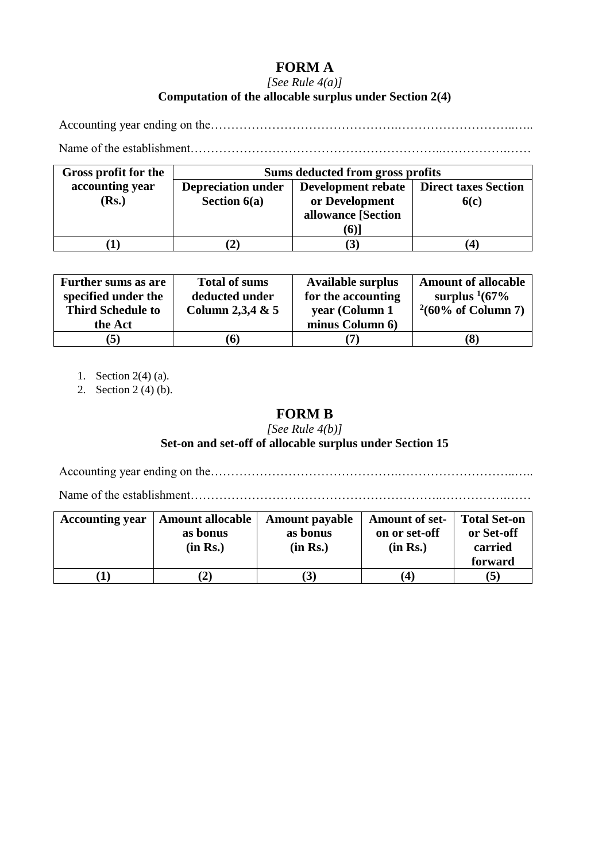# **FORM A**

## *[See Rule 4(a)]* **Computation of the allocable surplus under Section 2(4)**

Accounting year ending on the……………………………………….………………………..…..

Name of the establishment……………………………………………………..…………….……

| Gross profit for the | Sums deducted from gross profits |                                                  |      |  |  |  |
|----------------------|----------------------------------|--------------------------------------------------|------|--|--|--|
| accounting year      | <b>Depreciation under</b>        | <b>Development rebate</b>   Direct taxes Section |      |  |  |  |
| (Rs.)                | Section $6(a)$                   | or Development                                   | 6(c) |  |  |  |
|                      |                                  | allowance [Section                               |      |  |  |  |
|                      |                                  | (6)                                              |      |  |  |  |
|                      |                                  | $\mathbf{3}$                                     |      |  |  |  |

| <b>Further sums as are</b><br>specified under the<br><b>Third Schedule to</b> | <b>Total of sums</b><br>deducted under<br>Column 2,3,4 & $5$ | <b>Available surplus</b><br>for the accounting<br>year (Column 1 | <b>Amount of allocable</b><br>surplus $\frac{1}{67\%}$<br>$^{2}(60\% \text{ of Column 7})$ |
|-------------------------------------------------------------------------------|--------------------------------------------------------------|------------------------------------------------------------------|--------------------------------------------------------------------------------------------|
| the Act                                                                       |                                                              | minus Column 6)                                                  |                                                                                            |
| $\mathbf{5}$                                                                  | (6)                                                          |                                                                  | (8)                                                                                        |

1. Section 2(4) (a).

2. Section 2 (4) (b).

## **FORM B**

*[See Rule 4(b)]*

## **Set-on and set-off of allocable surplus under Section 15**

Accounting year ending on the……………………………………….………………………..…..

Name of the establishment……………………………………………………..…………….……

| <b>Accounting year</b> | <b>Amount allocable</b><br>as bonus<br>(in Rs.) | <b>Amount payable</b><br>as bonus<br>(in Rs.) | <b>Amount of set-</b><br>on or set-off<br>(in Rs.) | <b>Total Set-on</b><br>or Set-off<br>carried<br>forward |
|------------------------|-------------------------------------------------|-----------------------------------------------|----------------------------------------------------|---------------------------------------------------------|
|                        |                                                 | $\mathcal{I}$                                 | $\left 4\right\rangle$                             | (5)                                                     |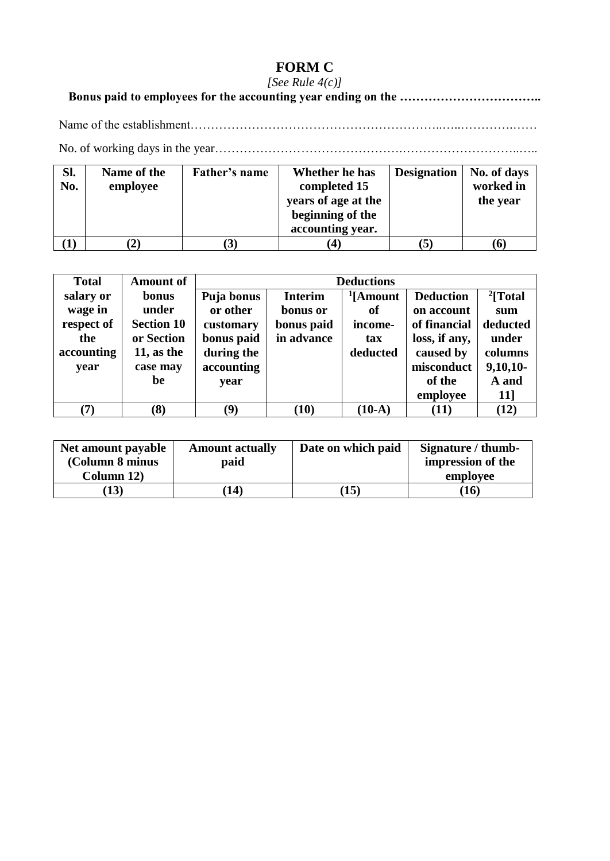# **FORM C**

## *[See Rule 4(c)]*

# **Bonus paid to employees for the accounting year ending on the ……………………………..**

Name of the establishment……………………………………………………..…..………….……

No. of working days in the year……………………………………….………………………..…..

| Sl.<br>No. | Name of the<br>employee | Father's name | Whether he has<br>completed 15          | <b>Designation</b> | No. of days<br>worked in |
|------------|-------------------------|---------------|-----------------------------------------|--------------------|--------------------------|
|            |                         |               | years of age at the<br>beginning of the |                    | the year                 |
|            |                         |               | accounting year.                        |                    |                          |
|            | $\mathbf{2})$           |               |                                         |                    | (6)                      |

| <b>Total</b>  | <b>Amount of</b>  |            | <b>Deductions</b> |                      |                  |                      |
|---------------|-------------------|------------|-------------------|----------------------|------------------|----------------------|
| salary or     | bonus             | Puja bonus | <b>Interim</b>    | <sup>1</sup> [Amount | <b>Deduction</b> | <sup>2</sup> [Total] |
| wage in       | under             | or other   | bonus or          | of                   | on account       | sum                  |
| respect of    | <b>Section 10</b> | customary  | bonus paid        | income-              | of financial     | deducted             |
| the           | or Section        | bonus paid | in advance        | tax                  | loss, if any,    | under                |
| accounting    | 11, as the        | during the |                   | deducted             | caused by        | columns              |
| year          | case may          | accounting |                   |                      | misconduct       | $9,10,10$ -          |
|               | be                | year       |                   |                      | of the           | A and                |
|               |                   |            |                   |                      | employee         | 11]                  |
| $\mathcal{T}$ | (8)               | (9)        | (10)              | $(10-A)$             | (11)             | (12)                 |

| Net amount payable | <b>Amount actually</b> | Date on which paid | Signature / thumb- |
|--------------------|------------------------|--------------------|--------------------|
| (Column 8 minus    | paid                   |                    | impression of the  |
| Column 12)         |                        |                    | employee           |
| (13)               | 14)                    | 15                 | $\bf{16}$          |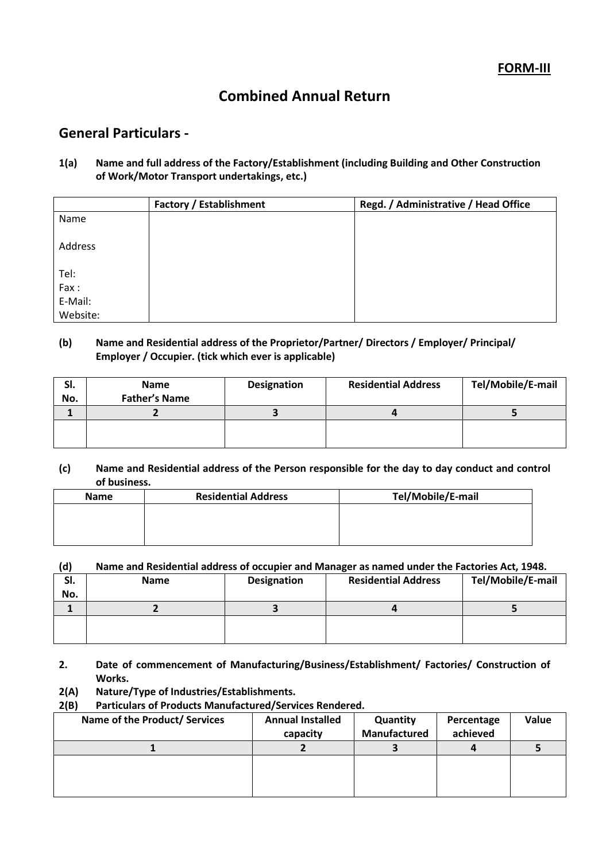# **Combined Annual Return**

## **General Particulars -**

## **1(a) Name and full address of the Factory/Establishment (including Building and Other Construction of Work/Motor Transport undertakings, etc.)**

|          | <b>Factory / Establishment</b> | Regd. / Administrative / Head Office |
|----------|--------------------------------|--------------------------------------|
| Name     |                                |                                      |
|          |                                |                                      |
| Address  |                                |                                      |
|          |                                |                                      |
| Tel:     |                                |                                      |
| Fax:     |                                |                                      |
| E-Mail:  |                                |                                      |
| Website: |                                |                                      |

## **(b) Name and Residential address of the Proprietor/Partner/ Directors / Employer/ Principal/ Employer / Occupier. (tick which ever is applicable)**

| SI.<br>No. | <b>Name</b><br><b>Father's Name</b> | <b>Designation</b> | <b>Residential Address</b> | Tel/Mobile/E-mail |
|------------|-------------------------------------|--------------------|----------------------------|-------------------|
|            |                                     |                    |                            |                   |
|            |                                     |                    |                            |                   |

## **(c) Name and Residential address of the Person responsible for the day to day conduct and control of business.**

| <b>Name</b> | <b>Residential Address</b> | Tel/Mobile/E-mail |
|-------------|----------------------------|-------------------|
|             |                            |                   |
|             |                            |                   |
|             |                            |                   |

## **(d) Name and Residential address of occupier and Manager as named under the Factories Act, 1948.**

| SI. | <b>Name</b> | <b>Designation</b> | <b>Residential Address</b> | Tel/Mobile/E-mail |
|-----|-------------|--------------------|----------------------------|-------------------|
| No. |             |                    |                            |                   |
|     |             |                    |                            |                   |
|     |             |                    |                            |                   |
|     |             |                    |                            |                   |

**2. Date of commencement of Manufacturing/Business/Establishment/ Factories/ Construction of Works.**

## **2(A) Nature/Type of Industries/Establishments.**

### **2(B) Particulars of Products Manufactured/Services Rendered.**

| Name of the Product/ Services | <b>Annual Installed</b> | Quantity     | Percentage | Value |
|-------------------------------|-------------------------|--------------|------------|-------|
|                               | capacity                | Manufactured | achieved   |       |
|                               |                         |              |            |       |
|                               |                         |              |            |       |
|                               |                         |              |            |       |
|                               |                         |              |            |       |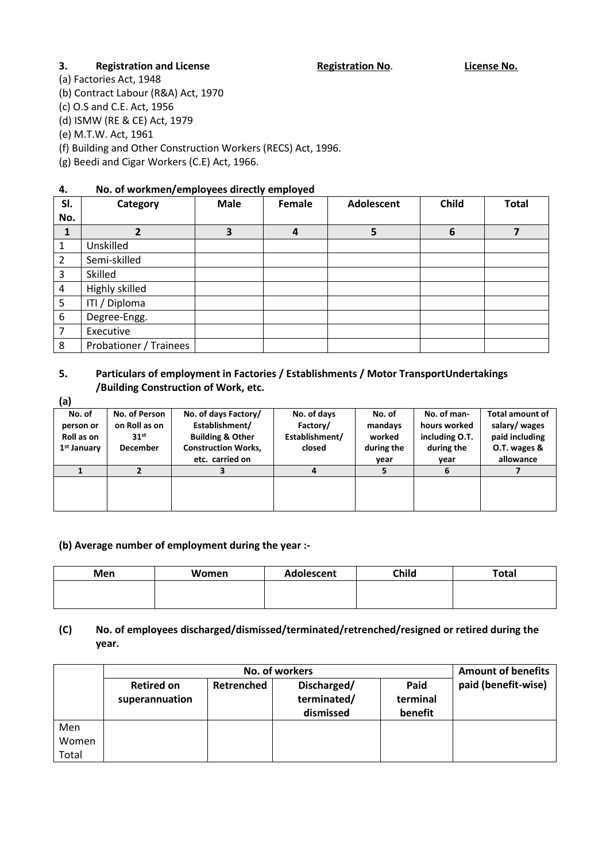## **3. Registration and License Registration No. License No. License No.**

(a) Factories Act, 1948

(b) Contract Labour (R&A) Act, 1970

(c) O.S and C.E. Act, 1956

(d) ISMW (RE & CE) Act, 1979

(e) M.T.W. Act, 1961

(f) Building and Other Construction Workers (RECS) Act, 1996.

(g) Beedi and Cigar Workers (C.E) Act, 1966.

## **4. No. of workmen/employees directly employed**

| SI.            | Category               | <b>Male</b> | Female         | <b>Adolescent</b> | <b>Child</b> | <b>Total</b> |
|----------------|------------------------|-------------|----------------|-------------------|--------------|--------------|
| No.            |                        |             |                |                   |              |              |
| 1              | $\overline{2}$         | 3           | $\overline{a}$ | 5                 | 6            |              |
| 1              | Unskilled              |             |                |                   |              |              |
| $\overline{2}$ | Semi-skilled           |             |                |                   |              |              |
| 3              | Skilled                |             |                |                   |              |              |
| $\overline{4}$ | Highly skilled         |             |                |                   |              |              |
| 5              | ITI / Diploma          |             |                |                   |              |              |
| 6              | Degree-Engg.           |             |                |                   |              |              |
| 7              | Executive              |             |                |                   |              |              |
| 8              | Probationer / Trainees |             |                |                   |              |              |

## **5. Particulars of employment in Factories / Establishments / Motor TransportUndertakings /Building Construction of Work, etc.**

**(a)**

| la)                     |                  |                             |                |            |                |                        |
|-------------------------|------------------|-----------------------------|----------------|------------|----------------|------------------------|
| No. of                  | No. of Person    | No. of days Factory/        | No. of days    | No. of     | No. of man-    | <b>Total amount of</b> |
| person or               | on Roll as on    | Establishment/              | Factory/       | mandays    | hours worked   | salary/wages           |
| Roll as on              | 31 <sup>st</sup> | <b>Building &amp; Other</b> | Establishment/ | worked     | including O.T. | paid including         |
| 1 <sup>st</sup> January | <b>December</b>  | <b>Construction Works,</b>  | closed         | during the | during the     | O.T. wages &           |
|                         |                  | etc. carried on             |                | year       | year           | allowance              |
|                         |                  |                             | 4              |            |                |                        |
|                         |                  |                             |                |            |                |                        |
|                         |                  |                             |                |            |                |                        |
|                         |                  |                             |                |            |                |                        |

#### **(b) Average number of employment during the year :-**

| Men | Women | Adolescent | Child | <b>Total</b> |
|-----|-------|------------|-------|--------------|
|     |       |            |       |              |
|     |       |            |       |              |

## **(C) No. of employees discharged/dismissed/terminated/retrenched/resigned or retired during the year.**

|                |                                     | <b>Amount of benefits</b> |                                         |                             |                     |
|----------------|-------------------------------------|---------------------------|-----------------------------------------|-----------------------------|---------------------|
|                | <b>Retired on</b><br>superannuation | Retrenched                | Discharged/<br>terminated/<br>dismissed | Paid<br>terminal<br>benefit | paid (benefit-wise) |
| Men            |                                     |                           |                                         |                             |                     |
| Women<br>Total |                                     |                           |                                         |                             |                     |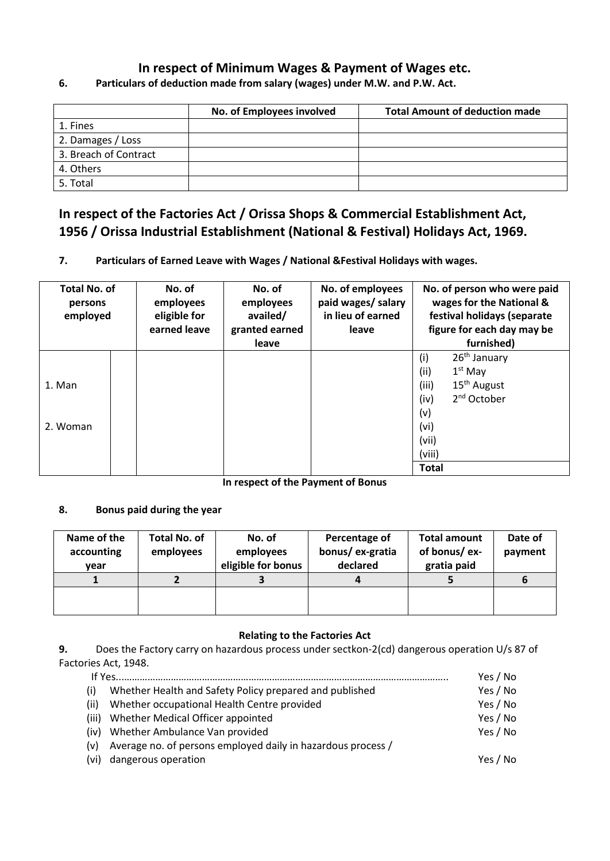## **In respect of Minimum Wages & Payment of Wages etc.**

## **No. of Employees involved Total Amount of deduction made** 1. Fines 2. Damages / Loss 3. Breach of Contract 4. Others 5. Total

## **6. Particulars of deduction made from salary (wages) under M.W. and P.W. Act.**

# **In respect of the Factories Act / Orissa Shops & Commercial Establishment Act, 1956 / Orissa Industrial Establishment (National & Festival) Holidays Act, 1969.**

## **7. Particulars of Earned Leave with Wages / National &Festival Holidays with wages.**

| <b>Total No. of</b><br>persons<br>employed | No. of<br>employees<br>eligible for<br>earned leave | No. of<br>employees<br>availed/<br>granted earned<br>leave | No. of employees<br>paid wages/ salary<br>in lieu of earned<br>leave | No. of person who were paid<br>wages for the National &<br>festival holidays (separate<br>figure for each day may be<br>furnished)                                  |
|--------------------------------------------|-----------------------------------------------------|------------------------------------------------------------|----------------------------------------------------------------------|---------------------------------------------------------------------------------------------------------------------------------------------------------------------|
| 1. Man<br>2. Woman                         |                                                     |                                                            |                                                                      | $26th$ January<br>(i)<br>(ii)<br>$1st$ May<br>15 <sup>th</sup> August<br>(iii)<br>2 <sup>nd</sup> October<br>(iv)<br>(v)<br>(vi)<br>(vii)<br>(viii)<br><b>Total</b> |

**In respect of the Payment of Bonus**

## **8. Bonus paid during the year**

| Name of the<br>accounting<br>vear | Total No. of<br>employees | No. of<br>employees<br>eligible for bonus | Percentage of<br>bonus/ex-gratia<br>declared | <b>Total amount</b><br>of bonus/ex-<br>gratia paid | Date of<br>payment |
|-----------------------------------|---------------------------|-------------------------------------------|----------------------------------------------|----------------------------------------------------|--------------------|
|                                   |                           |                                           |                                              |                                                    | o                  |
|                                   |                           |                                           |                                              |                                                    |                    |

## **Relating to the Factories Act**

**9.** Does the Factory carry on hazardous process under sectkon-2(cd) dangerous operation U/s 87 of Factories Act, 1948.

| If Yes                                                       | Yes / No |
|--------------------------------------------------------------|----------|
| Whether Health and Safety Policy prepared and published      | Yes / No |
| Whether occupational Health Centre provided                  | Yes / No |
| Whether Medical Officer appointed<br>(iii)                   | Yes / No |
| (iv) Whether Ambulance Van provided                          | Yes / No |
| Average no. of persons employed daily in hazardous process / |          |
| (vi) dangerous operation                                     | Yes / No |
|                                                              |          |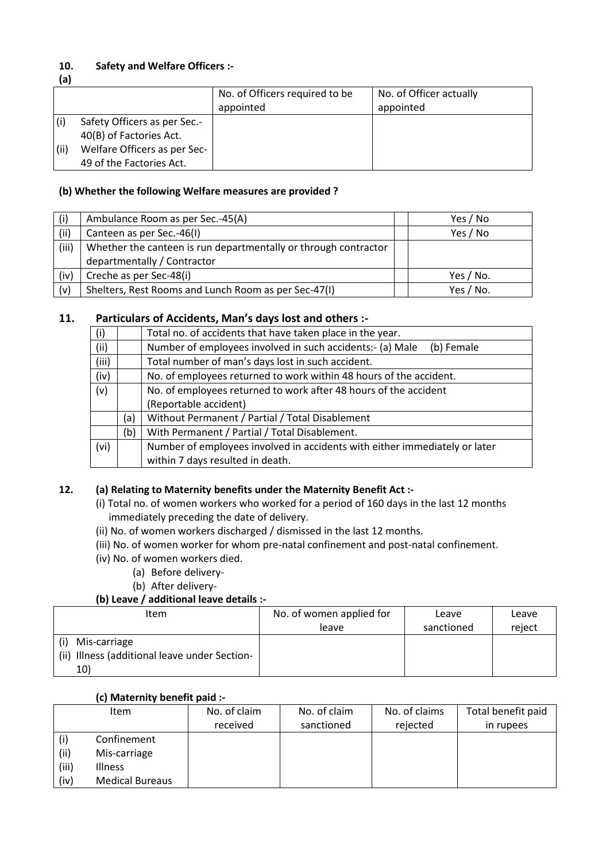## **10. Safety and Welfare Officers :-**

**(a)**

|      |                              | No. of Officers required to be | No. of Officer actually |
|------|------------------------------|--------------------------------|-------------------------|
|      |                              | appointed                      | appointed               |
|      | Safety Officers as per Sec.- |                                |                         |
|      | 40(B) of Factories Act.      |                                |                         |
| (ii) | Welfare Officers as per Sec- |                                |                         |
|      | 49 of the Factories Act.     |                                |                         |

## **(b) Whether the following Welfare measures are provided ?**

| (i)   | Ambulance Room as per Sec.-45(A)                                | Yes / No  |
|-------|-----------------------------------------------------------------|-----------|
| (ii)  | Canteen as per Sec.-46(I)                                       | Yes / No  |
| (iii) | Whether the canteen is run departmentally or through contractor |           |
|       | departmentally / Contractor                                     |           |
| (iv)  | Creche as per Sec-48(i)                                         | Yes / No. |
| (v)   | Shelters, Rest Rooms and Lunch Room as per Sec-47(I)            | Yes / No. |

## **11. Particulars of Accidents, Man's days lost and others :-**

| (i)   |     | Total no. of accidents that have taken place in the year.                  |
|-------|-----|----------------------------------------------------------------------------|
| (ii)  |     | Number of employees involved in such accidents:- (a) Male<br>(b) Female    |
| (iii) |     | Total number of man's days lost in such accident.                          |
| (iv)  |     | No. of employees returned to work within 48 hours of the accident.         |
| (v)   |     | No. of employees returned to work after 48 hours of the accident           |
|       |     | (Reportable accident)                                                      |
|       | (a) | Without Permanent / Partial / Total Disablement                            |
|       | (b) | With Permanent / Partial / Total Disablement.                              |
| (vi)  |     | Number of employees involved in accidents with either immediately or later |
|       |     | within 7 days resulted in death.                                           |

## **12. (a) Relating to Maternity benefits under the Maternity Benefit Act :-**

- (i) Total no. of women workers who worked for a period of 160 days in the last 12 months immediately preceding the date of delivery.
- (ii) No. of women workers discharged / dismissed in the last 12 months.
- (iii) No. of women worker for whom pre-natal confinement and post-natal confinement.
- (iv) No. of women workers died.
	- (a) Before delivery-
	- (b) After delivery-

## **(b) Leave / additional leave details :-**

| <b>Item</b>                                                   | No. of women applied for | Leave      | Leave  |
|---------------------------------------------------------------|--------------------------|------------|--------|
|                                                               | leave                    | sanctioned | reject |
| Mis-carriage<br>(ii) Illness (additional leave under Section- |                          |            |        |
| 10)                                                           |                          |            |        |

#### **(c) Maternity benefit paid :-**

|       | <b>Item</b>            | No. of claim | No. of claim | No. of claims | Total benefit paid |
|-------|------------------------|--------------|--------------|---------------|--------------------|
|       |                        | received     | sanctioned   | rejected      | in rupees          |
|       | Confinement            |              |              |               |                    |
| (ii)  | Mis-carriage           |              |              |               |                    |
| (iii) | <b>Illness</b>         |              |              |               |                    |
| (iv)  | <b>Medical Bureaus</b> |              |              |               |                    |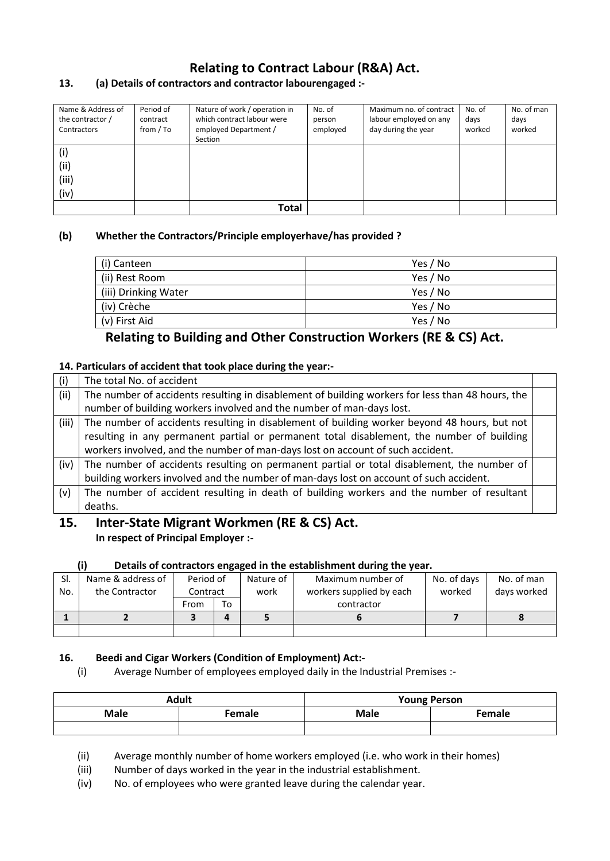# **Relating to Contract Labour (R&A) Act.**

## **13. (a) Details of contractors and contractor labourengaged :-**

| Name & Address of<br>the contractor /<br>Contractors | Period of<br>contract<br>from / To | Nature of work / operation in<br>which contract labour were<br>employed Department / | No. of<br>person<br>employed | Maximum no. of contract<br>labour employed on any<br>day during the year | No. of<br>days<br>worked | No. of man<br>days<br>worked |
|------------------------------------------------------|------------------------------------|--------------------------------------------------------------------------------------|------------------------------|--------------------------------------------------------------------------|--------------------------|------------------------------|
|                                                      |                                    | Section                                                                              |                              |                                                                          |                          |                              |
| (i)                                                  |                                    |                                                                                      |                              |                                                                          |                          |                              |
| (iii)                                                |                                    |                                                                                      |                              |                                                                          |                          |                              |
| (iii)                                                |                                    |                                                                                      |                              |                                                                          |                          |                              |
| (iv)                                                 |                                    |                                                                                      |                              |                                                                          |                          |                              |
|                                                      |                                    | Total                                                                                |                              |                                                                          |                          |                              |

## **(b) Whether the Contractors/Principle employerhave/has provided ?**

| (i) Canteen          | Yes / No |
|----------------------|----------|
| (ii) Rest Room       | Yes / No |
| (iii) Drinking Water | Yes / No |
| (iv) Crèche          | Yes / No |
| (v) First Aid        | Yes / No |

## **Relating to Building and Other Construction Workers (RE & CS) Act.**

## **14. Particulars of accident that took place during the year:-**

| (i)   | The total No. of accident                                                                        |  |
|-------|--------------------------------------------------------------------------------------------------|--|
| (ii)  | The number of accidents resulting in disablement of building workers for less than 48 hours, the |  |
|       | number of building workers involved and the number of man-days lost.                             |  |
| (iii) | The number of accidents resulting in disablement of building worker beyond 48 hours, but not     |  |
|       | resulting in any permanent partial or permanent total disablement, the number of building        |  |
|       | workers involved, and the number of man-days lost on account of such accident.                   |  |
| (iv)  | The number of accidents resulting on permanent partial or total disablement, the number of       |  |
|       | building workers involved and the number of man-days lost on account of such accident.           |  |
| (v)   | The number of accident resulting in death of building workers and the number of resultant        |  |
|       | deaths.                                                                                          |  |

## **15. Inter-State Migrant Workmen (RE & CS) Act. In respect of Principal Employer :-**

## **(i) Details of contractors engaged in the establishment during the year.**

| SI. | Name & address of | Period of |    | Nature of | Maximum number of        | No. of days | No. of man  |
|-----|-------------------|-----------|----|-----------|--------------------------|-------------|-------------|
| No. | the Contractor    | Contract  |    | work      | workers supplied by each | worked      | days worked |
|     |                   | From      | To |           | contractor               |             |             |
|     |                   |           | л  |           |                          |             |             |
|     |                   |           |    |           |                          |             |             |

## **16. Beedi and Cigar Workers (Condition of Employment) Act:-**

(i) Average Number of employees employed daily in the Industrial Premises :-

|      | <b>Adult</b> | <b>Young Person</b> |               |  |
|------|--------------|---------------------|---------------|--|
| Male | Female       | <b>Male</b>         | <b>Female</b> |  |
|      |              |                     |               |  |

(ii) Average monthly number of home workers employed (i.e. who work in their homes)

(iii) Number of days worked in the year in the industrial establishment.

(iv) No. of employees who were granted leave during the calendar year.